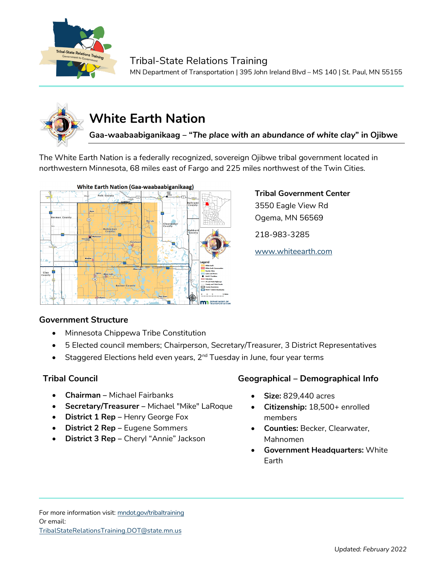

### Tribal-State Relations Training

MN Department of Transportation | 395 John Ireland Blvd – MS 140 | St. Paul, MN 55155



# **White Earth Nation**

**Gaa-waabaabiganikaag – "***The place with an abundance of white clay***" in Ojibwe**

The White Earth Nation is a federally recognized, sovereign Ojibwe tribal government located in northwestern Minnesota, 68 miles east of Fargo and 225 miles northwest of the Twin Cities.



## **Tribal Government Center**

3550 Eagle View Rd Ogema, MN 56569

218-983-3285

[www.whiteearth.com](http://www.whiteearth.com/)

#### **Government Structure**

- Minnesota Chippewa Tribe Constitution
- 5 Elected council members; Chairperson, Secretary/Treasurer, 3 District Representatives
- Staggered Elections held even years,  $2^{nd}$  Tuesday in June, four year terms

- **Chairman –** Michael Fairbanks
- **Secretary/Treasurer –** Michael "Mike" LaRoque
- **District 1 Rep** Henry George Fox
- **District 2 Rep –** Eugene Sommers
- **District 3 Rep** Cheryl "Annie" Jackson

#### **Tribal Council Geographical – Demographical Info**

- **Size:** 829,440 acres
- **Citizenship:** 18,500+ enrolled members
- **Counties:** Becker, Clearwater, Mahnomen
- **Government Headquarters:** White Earth

For more information visit: mndot.gov/tribaltraining Or email: TribalStateRelationsTraining.DOT@state.mn.us